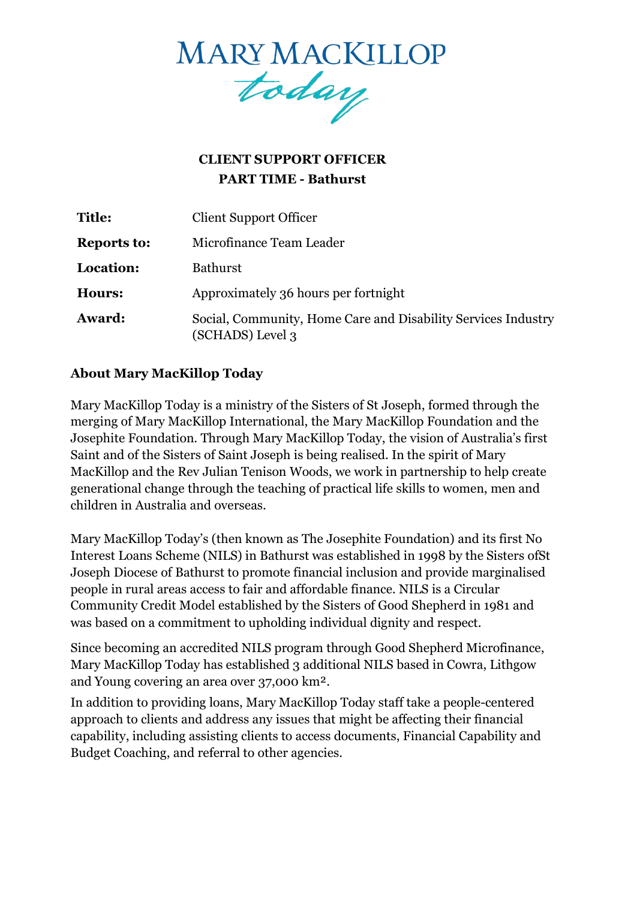

# **CLIENT SUPPORT OFFICER PART TIME - Bathurst**

| Title:             | <b>Client Support Officer</b>                                                     |
|--------------------|-----------------------------------------------------------------------------------|
| <b>Reports to:</b> | Microfinance Team Leader                                                          |
| Location:          | <b>Bathurst</b>                                                                   |
| <b>Hours:</b>      | Approximately 36 hours per fortnight                                              |
| Award:             | Social, Community, Home Care and Disability Services Industry<br>(SCHADS) Level 3 |

# **About Mary MacKillop Today**

Mary MacKillop Today is a ministry of the Sisters of St Joseph, formed through the merging of Mary MacKillop International, the Mary MacKillop Foundation and the Josephite Foundation. Through Mary MacKillop Today, the vision of Australia's first Saint and of the Sisters of Saint Joseph is being realised. In the spirit of [Mary](https://www.marymackilloptoday.org.au/who-we-are/mary-mackillops-story/)  [MacKillop a](https://www.marymackilloptoday.org.au/who-we-are/mary-mackillops-story/)nd the Rev Julian Tenison Woods, we work in partnership to help create generational change through the teaching of practical life skills to women, men and children in Australia and overseas.

Mary MacKillop Today's (then known as The Josephite Foundation) and its first No Interest Loans Scheme (NILS) in Bathurst was established in 1998 by the Sisters ofSt Joseph Diocese of Bathurst to promote financial inclusion and provide marginalised people in rural areas access to fair and affordable finance. NILS is a Circular Community Credit Model established by the Sisters of Good Shepherd in 1981 and was based on a commitment to upholding individual dignity and respect.

Since becoming an accredited NILS program through Good Shepherd Microfinance, Mary MacKillop Today has established 3 additional NILS based in Cowra, Lithgow and Young covering an area over 37,000 km².

In addition to providing loans, Mary MacKillop Today staff take a people-centered approach to clients and address any issues that might be affecting their financial capability, including assisting clients to access documents, Financial Capability and Budget Coaching, and referral to other agencies.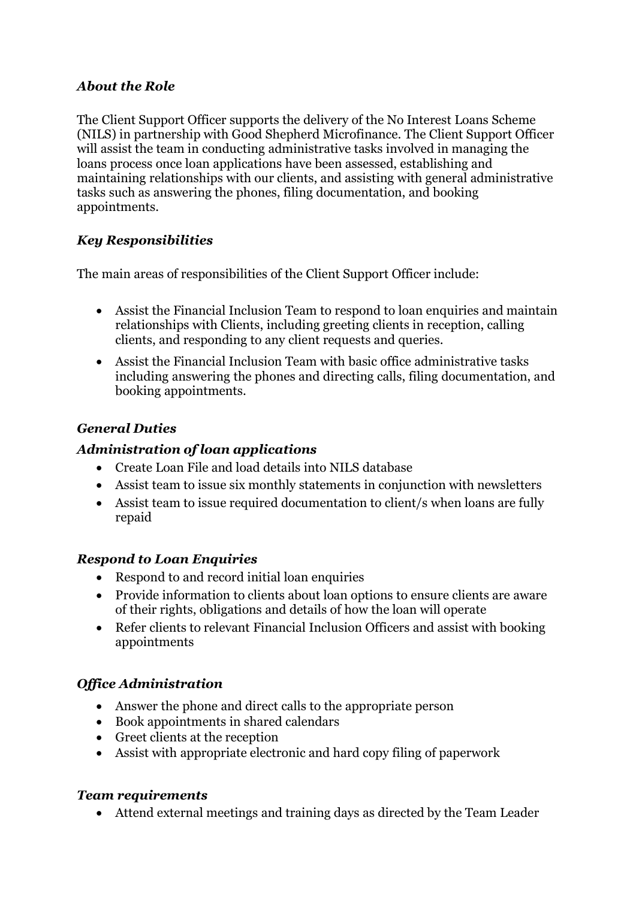### *About the Role*

The Client Support Officer supports the delivery of the No Interest Loans Scheme (NILS) in partnership with Good Shepherd Microfinance. The Client Support Officer will assist the team in conducting administrative tasks involved in managing the loans process once loan applications have been assessed, establishing and maintaining relationships with our clients, and assisting with general administrative tasks such as answering the phones, filing documentation, and booking appointments.

# *Key Responsibilities*

The main areas of responsibilities of the Client Support Officer include:

- Assist the Financial Inclusion Team to respond to loan enquiries and maintain relationships with Clients, including greeting clients in reception, calling clients, and responding to any client requests and queries.
- Assist the Financial Inclusion Team with basic office administrative tasks including answering the phones and directing calls, filing documentation, and booking appointments.

# *General Duties*

### *Administration of loan applications*

- Create Loan File and load details into NILS database
- Assist team to issue six monthly statements in conjunction with newsletters
- Assist team to issue required documentation to client/s when loans are fully repaid

# *Respond to Loan Enquiries*

- Respond to and record initial loan enquiries
- Provide information to clients about loan options to ensure clients are aware of their rights, obligations and details of how the loan will operate
- Refer clients to relevant Financial Inclusion Officers and assist with booking appointments

# *Office Administration*

- Answer the phone and direct calls to the appropriate person
- Book appointments in shared calendars
- Greet clients at the reception
- Assist with appropriate electronic and hard copy filing of paperwork

#### *Team requirements*

• Attend external meetings and training days as directed by the Team Leader